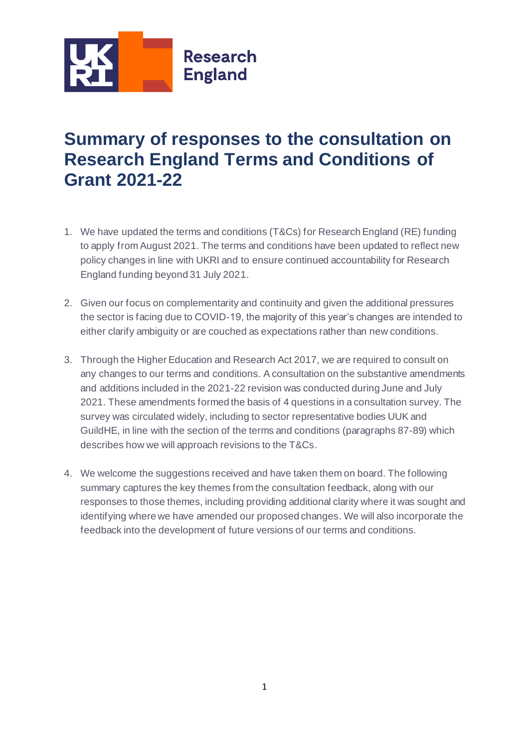

# **Summary of responses to the consultation on Research England Terms and Conditions of Grant 2021-22**

- 1. We have updated the terms and conditions (T&Cs) for Research England (RE) funding to apply from August 2021. The terms and conditions have been updated to reflect new policy changes in line with UKRI and to ensure continued accountability for Research England funding beyond 31 July 2021.
- 2. Given our focus on complementarity and continuity and given the additional pressures the sector is facing due to COVID-19, the majority of this year's changes are intended to either clarify ambiguity or are couched as expectations rather than new conditions.
- 3. Through the Higher Education and Research Act 2017, we are required to consult on any changes to our terms and conditions. A consultation on the substantive amendments and additions included in the 2021-22 revision was conducted during June and July 2021. These amendments formed the basis of 4 questions in a consultation survey. The survey was circulated widely, including to sector representative bodies UUK and GuildHE, in line with the section of the terms and conditions (paragraphs 87-89) which describes how we will approach revisions to the T&Cs.
- 4. We welcome the suggestions received and have taken them on board. The following summary captures the key themes from the consultation feedback, along with our responses to those themes, including providing additional clarity where it was sought and identifying where we have amended our proposed changes. We will also incorporate the feedback into the development of future versions of our terms and conditions.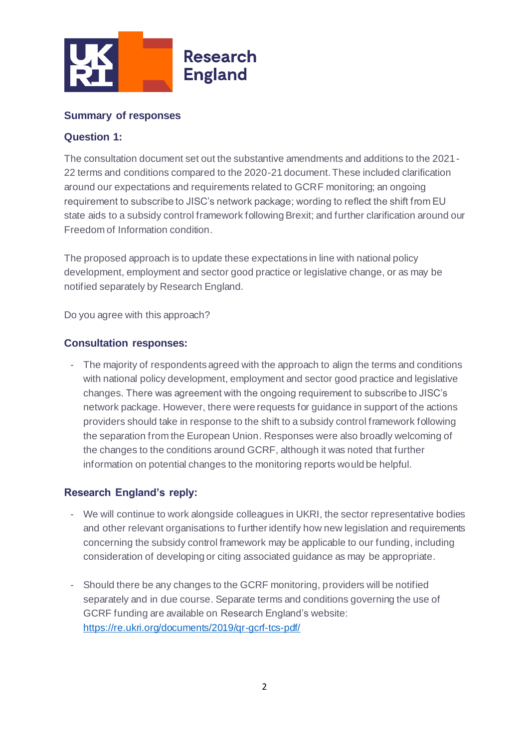

## **Summary of responses**

#### **Question 1:**

The consultation document set out the substantive amendments and additions to the 2021- 22 terms and conditions compared to the 2020-21 document. These included clarification around our expectations and requirements related to GCRF monitoring; an ongoing requirement to subscribe to JISC's network package; wording to reflect the shift from EU state aids to a subsidy control framework following Brexit; and further clarification around our Freedom of Information condition.

The proposed approach is to update these expectations in line with national policy development, employment and sector good practice or legislative change, or as may be notified separately by Research England.

Do you agree with this approach?

#### **Consultation responses:**

- The majority of respondents agreed with the approach to align the terms and conditions with national policy development, employment and sector good practice and legislative changes. There was agreement with the ongoing requirement to subscribe to JISC's network package. However, there were requests for guidance in support of the actions providers should take in response to the shift to a subsidy control framework following the separation from the European Union. Responses were also broadly welcoming of the changes to the conditions around GCRF, although it was noted that further information on potential changes to the monitoring reports would be helpful.

## **Research England's reply:**

- We will continue to work alongside colleagues in UKRI, the sector representative bodies and other relevant organisations to further identify how new legislation and requirements concerning the subsidy control framework may be applicable to our funding, including consideration of developing or citing associated guidance as may be appropriate.
- Should there be any changes to the GCRF monitoring, providers will be notified separately and in due course. Separate terms and conditions governing the use of GCRF funding are available on Research England's website: <https://re.ukri.org/documents/2019/qr-gcrf-tcs-pdf/>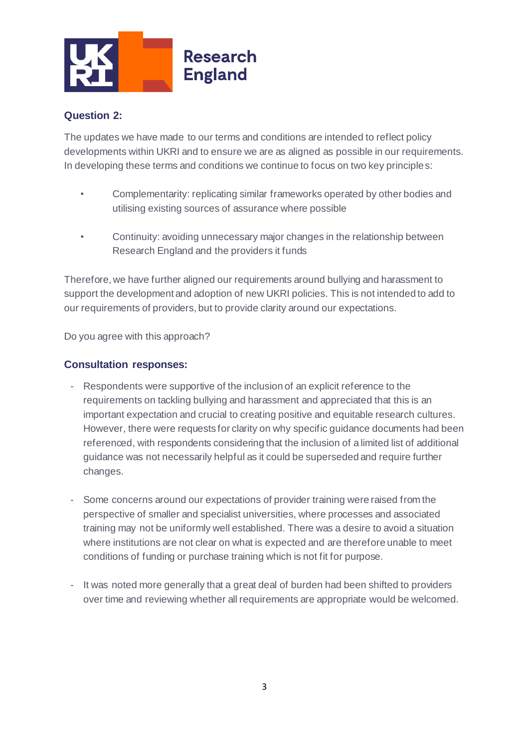

# **Question 2:**

The updates we have made to our terms and conditions are intended to reflect policy developments within UKRI and to ensure we are as aligned as possible in our requirements. In developing these terms and conditions we continue to focus on two key principles:

- Complementarity: replicating similar frameworks operated by other bodies and utilising existing sources of assurance where possible
- Continuity: avoiding unnecessary major changes in the relationship between Research England and the providers it funds

Therefore, we have further aligned our requirements around bullying and harassment to support the development and adoption of new UKRI policies. This is not intended to add to our requirements of providers, but to provide clarity around our expectations.

Do you agree with this approach?

## **Consultation responses:**

- Respondents were supportive of the inclusion of an explicit reference to the requirements on tackling bullying and harassment and appreciated that this is an important expectation and crucial to creating positive and equitable research cultures. However, there were requests for clarity on why specific guidance documents had been referenced, with respondents considering that the inclusion of a limited list of additional guidance was not necessarily helpful as it could be superseded and require further changes.
- Some concerns around our expectations of provider training were raised from the perspective of smaller and specialist universities, where processes and associated training may not be uniformly well established. There was a desire to avoid a situation where institutions are not clear on what is expected and are therefore unable to meet conditions of funding or purchase training which is not fit for purpose.
- It was noted more generally that a great deal of burden had been shifted to providers over time and reviewing whether all requirements are appropriate would be welcomed.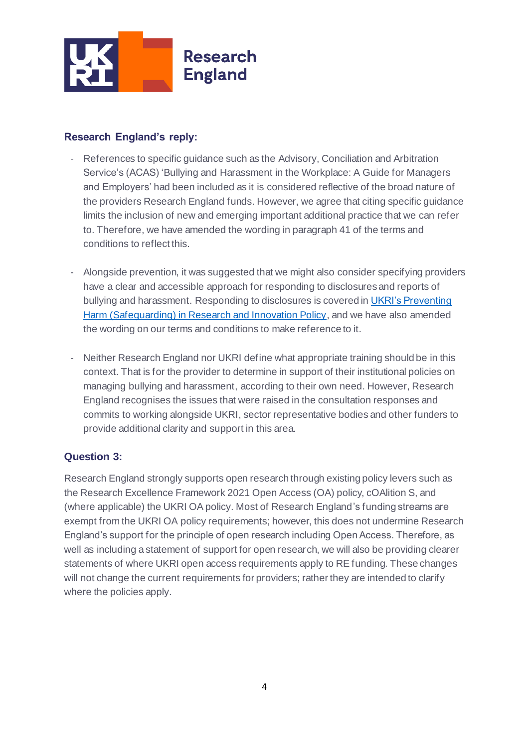

## **Research England's reply:**

- References to specific guidance such as the Advisory, Conciliation and Arbitration Service's (ACAS) 'Bullying and Harassment in the Workplace: A Guide for Managers and Employers' had been included as it is considered reflective of the broad nature of the providers Research England funds. However, we agree that citing specific guidance limits the inclusion of new and emerging important additional practice that we can refer to. Therefore, we have amended the wording in paragraph 41 of the terms and conditions to reflect this.
- Alongside prevention, it was suggested that we might also consider specifying providers have a clear and accessible approach for responding to disclosures and reports of bullying and harassment. Responding to disclosures is covered in UKRI's Preventing [Harm \(Safeguarding\) in Research and Innovation Policy,](https://www.ukri.org/wp-content/uploads/2020/10/UKRI-050920-PreventingHarmSafeguardingInResearchAndInnovationPolicy.pdf) and we have also amended the wording on our terms and conditions to make reference to it.
- Neither Research England nor UKRI define what appropriate training should be in this context. That is for the provider to determine in support of their institutional policies on managing bullying and harassment, according to their own need. However, Research England recognises the issues that were raised in the consultation responses and commits to working alongside UKRI, sector representative bodies and other funders to provide additional clarity and support in this area.

## **Question 3:**

Research England strongly supports open research through existing policy levers such as the Research Excellence Framework 2021 Open Access (OA) policy, cOAlition S, and (where applicable) the UKRI OA policy. Most of Research England's funding streams are exempt from the UKRI OA policy requirements; however, this does not undermine Research England's support for the principle of open research including Open Access. Therefore, as well as including a statement of support for open research, we will also be providing clearer statements of where UKRI open access requirements apply to RE funding. These changes will not change the current requirements for providers; rather they are intended to clarify where the policies apply.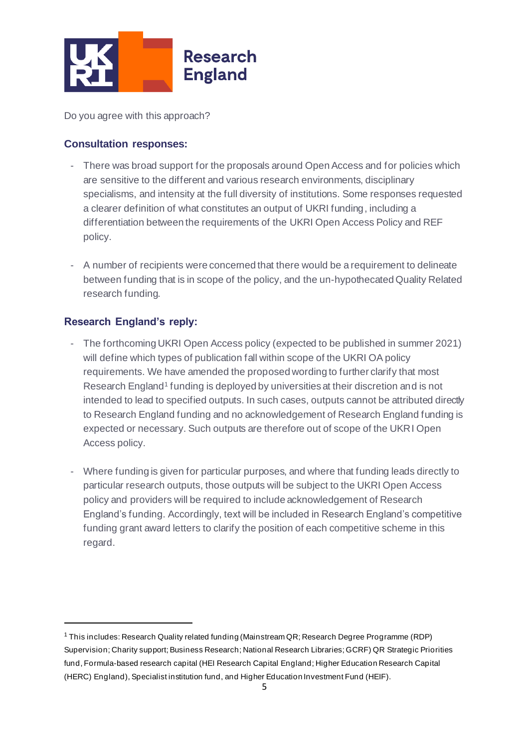

Do you agree with this approach?

## **Consultation responses:**

- There was broad support for the proposals around Open Access and for policies which are sensitive to the different and various research environments, disciplinary specialisms, and intensity at the full diversity of institutions. Some responses requested a clearer definition of what constitutes an output of UKRI funding, including a differentiation between the requirements of the UKRI Open Access Policy and REF policy.
- A number of recipients were concerned that there would be a requirement to delineate between funding that is in scope of the policy, and the un-hypothecated Quality Related research funding.

## **Research England's reply:**

- The forthcoming UKRI Open Access policy (expected to be published in summer 2021) will define which types of publication fall within scope of the UKRI OA policy requirements. We have amended the proposed wording to further clarify that most Research England<sup>1</sup> funding is deployed by universities at their discretion and is not intended to lead to specified outputs. In such cases, outputs cannot be attributed directly to Research England funding and no acknowledgement of Research England funding is expected or necessary. Such outputs are therefore out of scope of the UKRI Open Access policy.
- Where funding is given for particular purposes, and where that funding leads directly to particular research outputs, those outputs will be subject to the UKRI Open Access policy and providers will be required to include acknowledgement of Research England's funding. Accordingly, text will be included in Research England's competitive funding grant award letters to clarify the position of each competitive scheme in this regard.

<sup>1</sup> This includes: Research Quality related funding (Mainstream QR; Research Degree Programme (RDP) Supervision; Charity support; Business Research; National Research Libraries; GCRF) QR Strategic Priorities fund, Formula-based research capital (HEI Research Capital England; Higher Education Research Capital (HERC) England), Specialist institution fund, and Higher Education Investment Fund (HEIF).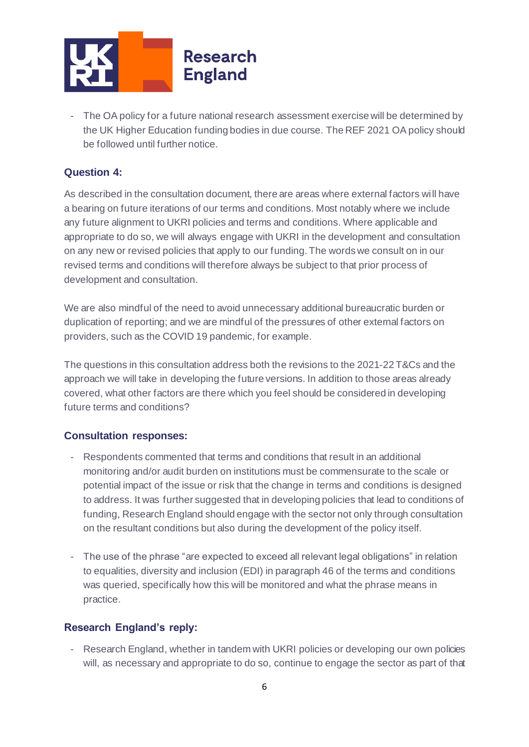

The OA policy for a future national research assessment exercise will be determined by the UK Higher Education funding bodies in due course. The REF 2021 OA policy should be followed until further notice.

## **Question 4:**

As described in the consultation document, there are areas where external factors will have a bearing on future iterations of our terms and conditions. Most notably where we include any future alignment to UKRI policies and terms and conditions. Where applicable and appropriate to do so, we will always engage with UKRI in the development and consultation on any new or revised policies that apply to our funding. The words we consult on in our revised terms and conditions will therefore always be subject to that prior process of development and consultation.

We are also mindful of the need to avoid unnecessary additional bureaucratic burden or duplication of reporting; and we are mindful of the pressures of other external factors on providers, such as the COVID 19 pandemic, for example.

The questions in this consultation address both the revisions to the 2021-22 T&Cs and the approach we will take in developing the future versions. In addition to those areas already covered, what other factors are there which you feel should be considered in developing future terms and conditions?

## **Consultation responses:**

- Respondents commented that terms and conditions that result in an additional monitoring and/or audit burden on institutions must be commensurate to the scale or potential impact of the issue or risk that the change in terms and conditions is designed to address. It was further suggested that in developing policies that lead to conditions of funding, Research England should engage with the sector not only through consultation on the resultant conditions but also during the development of the policy itself.
- The use of the phrase "are expected to exceed all relevant legal obligations" in relation to equalities, diversity and inclusion (EDI) in paragraph 46 of the terms and conditions was queried, specifically how this will be monitored and what the phrase means in practice.

## **Research England's reply:**

Research England, whether in tandem with UKRI policies or developing our own policies will, as necessary and appropriate to do so, continue to engage the sector as part of that